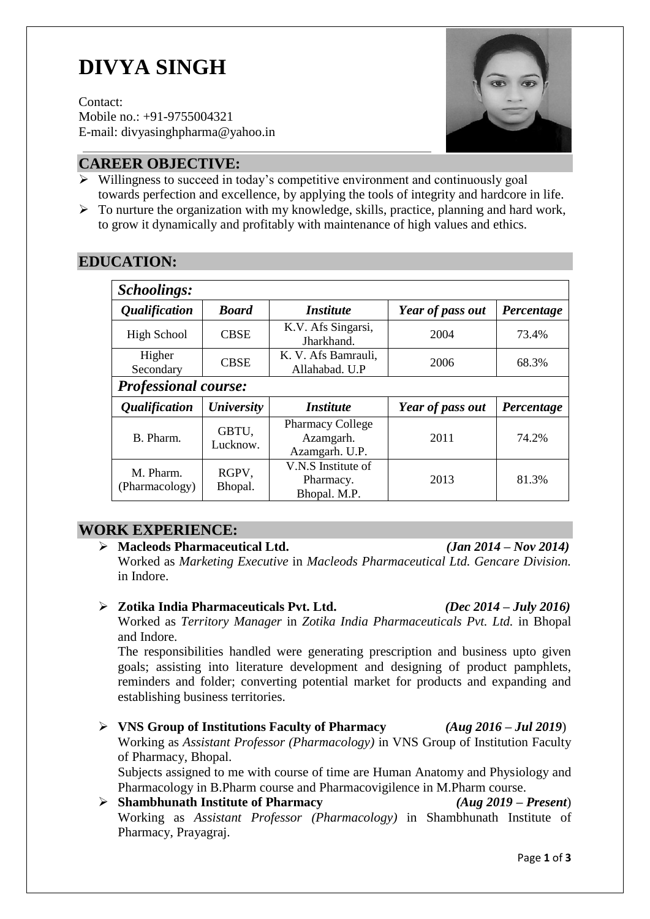# **DIVYA SINGH**

Contact: Mobile no.: +91-9755004321 E-mail: [divyasinghpharma@yahoo.in](mailto:divyasinghpharma@yahoo.in)



#### **CAREER OBJECTIVE:**

- $\triangleright$  Willingness to succeed in today's competitive environment and continuously goal towards perfection and excellence, by applying the tools of integrity and hardcore in life.
- $\triangleright$  To nurture the organization with my knowledge, skills, practice, planning and hard work, to grow it dynamically and profitably with maintenance of high values and ethics.

| <b>Schoolings:</b>          |                          |                                                        |                  |            |  |
|-----------------------------|--------------------------|--------------------------------------------------------|------------------|------------|--|
| <i><b>Qualification</b></i> | <b>Board</b>             | <i><b>Institute</b></i>                                | Year of pass out | Percentage |  |
| <b>High School</b>          | <b>CBSE</b>              | K.V. Afs Singarsi,<br>Jharkhand.                       | 2004             | 73.4%      |  |
| Higher<br>Secondary         | <b>CBSE</b>              | K. V. Afs Bamrauli,<br>Allahabad. U.P                  | 2006             | 68.3%      |  |
| <b>Professional course:</b> |                          |                                                        |                  |            |  |
| <i><b>Qualification</b></i> | <b><i>University</i></b> | <i><b>Institute</b></i>                                | Year of pass out | Percentage |  |
| B. Pharm.                   | GBTU,<br>Lucknow.        | <b>Pharmacy College</b><br>Azamgarh.<br>Azamgarh. U.P. | 2011             | 74.2%      |  |
| M. Pharm.<br>(Pharmacology) | RGPV,<br>Bhopal.         | V.N.S Institute of<br>Pharmacy.<br>Bhopal. M.P.        | 2013             | 81.3%      |  |

#### **WORK EXPERIENCE:**

# **Macleods Pharmaceutical Ltd.** *(Jan 2014 – Nov 2014)*

Worked as *Marketing Executive* in *Macleods Pharmaceutical Ltd. Gencare Division.*  in Indore.

**Zotika India Pharmaceuticals Pvt. Ltd.** *(Dec 2014 – July 2016)*

Worked as *Territory Manager* in *Zotika India Pharmaceuticals Pvt. Ltd.* in Bhopal and Indore.

The responsibilities handled were generating prescription and business upto given goals; assisting into literature development and designing of product pamphlets, reminders and folder; converting potential market for products and expanding and establishing business territories.

 **VNS Group of Institutions Faculty of Pharmacy** *(Aug 2016 – Jul 2019*) Working as *Assistant Professor (Pharmacology)* in VNS Group of Institution Faculty of Pharmacy, Bhopal.

Subjects assigned to me with course of time are Human Anatomy and Physiology and Pharmacology in B.Pharm course and Pharmacovigilence in M.Pharm course.

 **Shambhunath Institute of Pharmacy** *(Aug 2019 – Present*) Working as *Assistant Professor (Pharmacology)* in Shambhunath Institute of Pharmacy, Prayagraj.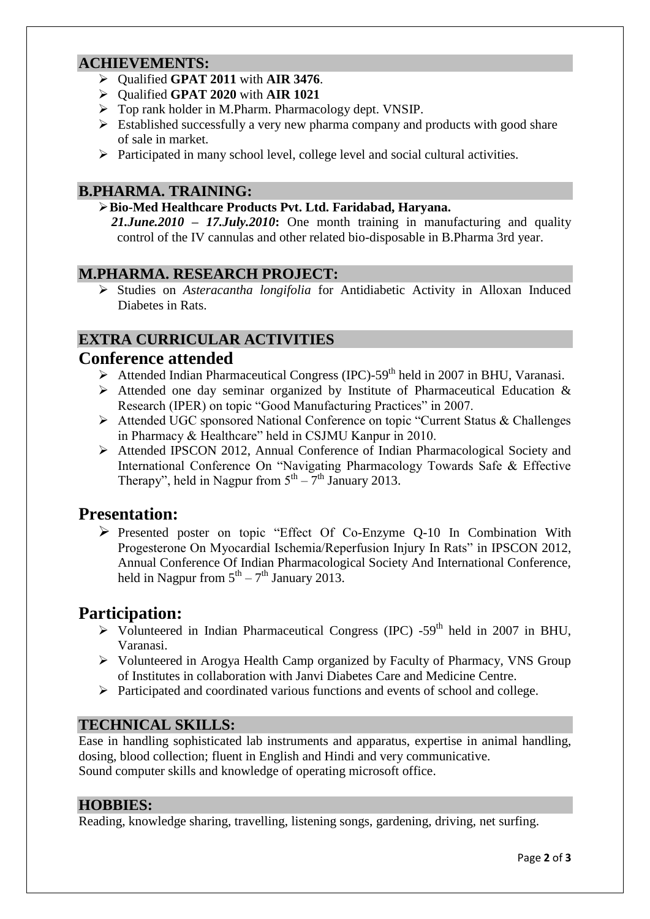#### **ACHIEVEMENTS:**

- Qualified **GPAT 2011** with **AIR 3476**.
- Qualified **GPAT 2020** with **AIR 1021**
- Top rank holder in M.Pharm. Pharmacology dept. VNSIP.
- $\triangleright$  Established successfully a very new pharma company and products with good share of sale in market.
- Participated in many school level, college level and social cultural activities.

#### **B.PHARMA. TRAINING:**

#### **Bio-Med Healthcare Products Pvt. Ltd. Faridabad, Haryana.**

*21.June.2010 – 17.July.2010***:** One month training in manufacturing and quality control of the IV cannulas and other related bio-disposable in B.Pharma 3rd year.

#### **M.PHARMA. RESEARCH PROJECT:**

 Studies on *Asteracantha longifolia* for Antidiabetic Activity in Alloxan Induced Diabetes in Rats.

### **EXTRA CURRICULAR ACTIVITIES**

#### **Conference attended**

- Attended Indian Pharmaceutical Congress (IPC)-59<sup>th</sup> held in 2007 in BHU, Varanasi.
- $\triangleright$  Attended one day seminar organized by Institute of Pharmaceutical Education & Research (IPER) on topic "Good Manufacturing Practices" in 2007.
- Attended UGC sponsored National Conference on topic "Current Status & Challenges in Pharmacy & Healthcare" held in CSJMU Kanpur in 2010.
- Attended IPSCON 2012, Annual Conference of Indian Pharmacological Society and International Conference On "Navigating Pharmacology Towards Safe & Effective Therapy", held in Nagpur from  $5<sup>th</sup> - 7<sup>th</sup>$  January 2013.

### **Presentation:**

 $\triangleright$  Presented poster on topic "Effect Of Co-Enzyme O-10 In Combination With Progesterone On Myocardial Ischemia/Reperfusion Injury In Rats" in IPSCON 2012, Annual Conference Of Indian Pharmacological Society And International Conference, held in Nagpur from  $5<sup>th</sup> - 7<sup>th</sup>$  January 2013.

# **Participation:**

- $\triangleright$  Volunteered in Indian Pharmaceutical Congress (IPC) -59<sup>th</sup> held in 2007 in BHU, Varanasi.
- Volunteered in Arogya Health Camp organized by Faculty of Pharmacy, VNS Group of Institutes in collaboration with Janvi Diabetes Care and Medicine Centre.
- Participated and coordinated various functions and events of school and college.

#### **TECHNICAL SKILLS:**

Ease in handling sophisticated lab instruments and apparatus, expertise in animal handling, dosing, blood collection; fluent in English and Hindi and very communicative. Sound computer skills and knowledge of operating microsoft office.

#### **HOBBIES:**

Reading, knowledge sharing, travelling, listening songs, gardening, driving, net surfing.